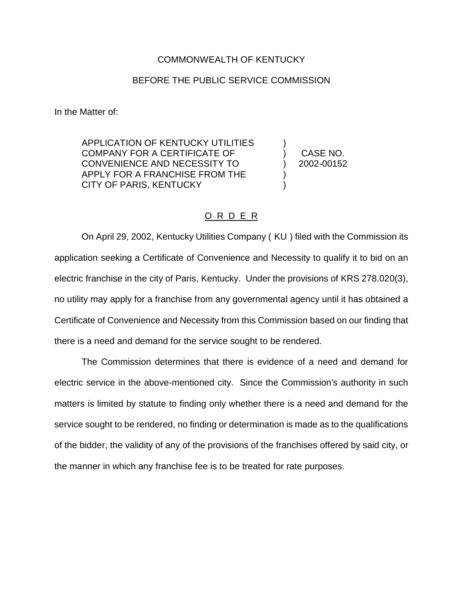## COMMONWEALTH OF KENTUCKY

## BEFORE THE PUBLIC SERVICE COMMISSION

In the Matter of:

APPLICATION OF KENTUCKY UTILITIES COMPANY FOR A CERTIFICATE OF ) CASE NO. CONVENIENCE AND NECESSITY TO ) 2002-00152 APPLY FOR A FRANCHISE FROM THE CITY OF PARIS, KENTUCKY )

## O R D E R

On April 29, 2002, Kentucky Utilities Company ( KU ) filed with the Commission its application seeking a Certificate of Convenience and Necessity to qualify it to bid on an electric franchise in the city of Paris, Kentucky. Under the provisions of KRS 278.020(3), no utility may apply for a franchise from any governmental agency until it has obtained a Certificate of Convenience and Necessity from this Commission based on our finding that there is a need and demand for the service sought to be rendered.

The Commission determines that there is evidence of a need and demand for electric service in the above-mentioned city. Since the Commission's authority in such matters is limited by statute to finding only whether there is a need and demand for the service sought to be rendered, no finding or determination is made as to the qualifications of the bidder, the validity of any of the provisions of the franchises offered by said city, or the manner in which any franchise fee is to be treated for rate purposes.